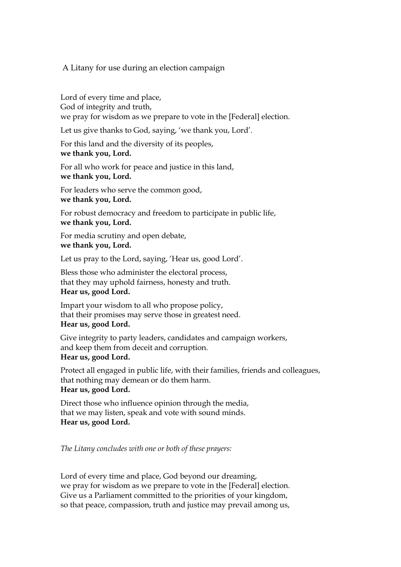## A Litany for use during an election campaign

Lord of every time and place, God of integrity and truth, we pray for wisdom as we prepare to vote in the [Federal] election.

Let us give thanks to God, saying, 'we thank you, Lord'*.* 

For this land and the diversity of its peoples, **we thank you, Lord.** 

For all who work for peace and justice in this land, **we thank you, Lord.** 

For leaders who serve the common good, **we thank you, Lord.** 

For robust democracy and freedom to participate in public life, **we thank you, Lord.** 

For media scrutiny and open debate, **we thank you, Lord.** 

Let us pray to the Lord, saying, 'Hear us, good Lord'.

Bless those who administer the electoral process, that they may uphold fairness, honesty and truth. **Hear us, good Lord.** 

Impart your wisdom to all who propose policy, that their promises may serve those in greatest need. **Hear us, good Lord.** 

Give integrity to party leaders, candidates and campaign workers, and keep them from deceit and corruption. **Hear us, good Lord.** 

Protect all engaged in public life, with their families, friends and colleagues, that nothing may demean or do them harm. **Hear us, good Lord.** 

Direct those who influence opinion through the media, that we may listen, speak and vote with sound minds. **Hear us, good Lord.** 

*The Litany concludes with one or both of these prayers:* 

Lord of every time and place, God beyond our dreaming, we pray for wisdom as we prepare to vote in the [Federal] election. Give us a Parliament committed to the priorities of your kingdom, so that peace, compassion, truth and justice may prevail among us,